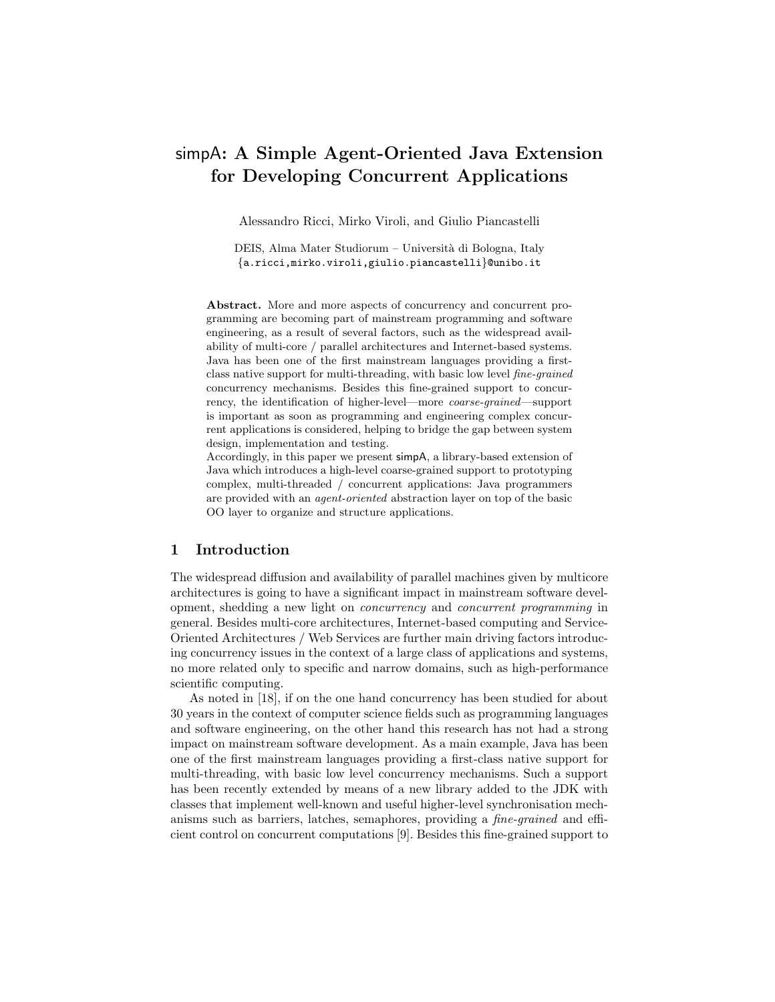# simpA: A Simple Agent-Oriented Java Extension for Developing Concurrent Applications

Alessandro Ricci, Mirko Viroli, and Giulio Piancastelli

DEIS, Alma Mater Studiorum – Università di Bologna, Italy {a.ricci,mirko.viroli,giulio.piancastelli}@unibo.it

Abstract. More and more aspects of concurrency and concurrent programming are becoming part of mainstream programming and software engineering, as a result of several factors, such as the widespread availability of multi-core / parallel architectures and Internet-based systems. Java has been one of the first mainstream languages providing a firstclass native support for multi-threading, with basic low level fine-grained concurrency mechanisms. Besides this fine-grained support to concurrency, the identification of higher-level—more coarse-grained—support is important as soon as programming and engineering complex concurrent applications is considered, helping to bridge the gap between system design, implementation and testing.

Accordingly, in this paper we present simpA, a library-based extension of Java which introduces a high-level coarse-grained support to prototyping complex, multi-threaded / concurrent applications: Java programmers are provided with an agent-oriented abstraction layer on top of the basic OO layer to organize and structure applications.

# 1 Introduction

The widespread diffusion and availability of parallel machines given by multicore architectures is going to have a significant impact in mainstream software development, shedding a new light on concurrency and concurrent programming in general. Besides multi-core architectures, Internet-based computing and Service-Oriented Architectures / Web Services are further main driving factors introducing concurrency issues in the context of a large class of applications and systems, no more related only to specific and narrow domains, such as high-performance scientific computing.

As noted in [18], if on the one hand concurrency has been studied for about 30 years in the context of computer science fields such as programming languages and software engineering, on the other hand this research has not had a strong impact on mainstream software development. As a main example, Java has been one of the first mainstream languages providing a first-class native support for multi-threading, with basic low level concurrency mechanisms. Such a support has been recently extended by means of a new library added to the JDK with classes that implement well-known and useful higher-level synchronisation mechanisms such as barriers, latches, semaphores, providing a fine-grained and efficient control on concurrent computations [9]. Besides this fine-grained support to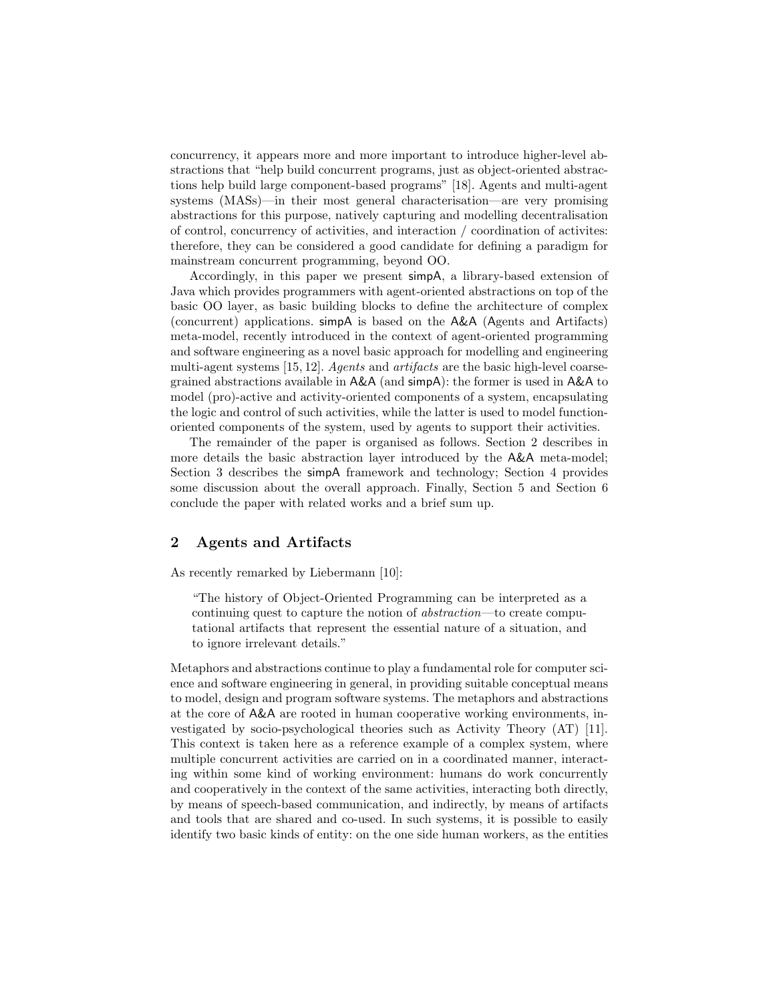concurrency, it appears more and more important to introduce higher-level abstractions that "help build concurrent programs, just as object-oriented abstractions help build large component-based programs" [18]. Agents and multi-agent systems (MASs)—in their most general characterisation—are very promising abstractions for this purpose, natively capturing and modelling decentralisation of control, concurrency of activities, and interaction / coordination of activites: therefore, they can be considered a good candidate for defining a paradigm for mainstream concurrent programming, beyond OO.

Accordingly, in this paper we present simpA, a library-based extension of Java which provides programmers with agent-oriented abstractions on top of the basic OO layer, as basic building blocks to define the architecture of complex (concurrent) applications. simpA is based on the A&A (Agents and Artifacts) meta-model, recently introduced in the context of agent-oriented programming and software engineering as a novel basic approach for modelling and engineering multi-agent systems [15, 12]. Agents and artifacts are the basic high-level coarsegrained abstractions available in A&A (and simpA): the former is used in A&A to model (pro)-active and activity-oriented components of a system, encapsulating the logic and control of such activities, while the latter is used to model functionoriented components of the system, used by agents to support their activities.

The remainder of the paper is organised as follows. Section 2 describes in more details the basic abstraction layer introduced by the A&A meta-model; Section 3 describes the simpA framework and technology; Section 4 provides some discussion about the overall approach. Finally, Section 5 and Section 6 conclude the paper with related works and a brief sum up.

# 2 Agents and Artifacts

As recently remarked by Liebermann [10]:

"The history of Object-Oriented Programming can be interpreted as a continuing quest to capture the notion of abstraction—to create computational artifacts that represent the essential nature of a situation, and to ignore irrelevant details."

Metaphors and abstractions continue to play a fundamental role for computer science and software engineering in general, in providing suitable conceptual means to model, design and program software systems. The metaphors and abstractions at the core of A&A are rooted in human cooperative working environments, investigated by socio-psychological theories such as Activity Theory (AT) [11]. This context is taken here as a reference example of a complex system, where multiple concurrent activities are carried on in a coordinated manner, interacting within some kind of working environment: humans do work concurrently and cooperatively in the context of the same activities, interacting both directly, by means of speech-based communication, and indirectly, by means of artifacts and tools that are shared and co-used. In such systems, it is possible to easily identify two basic kinds of entity: on the one side human workers, as the entities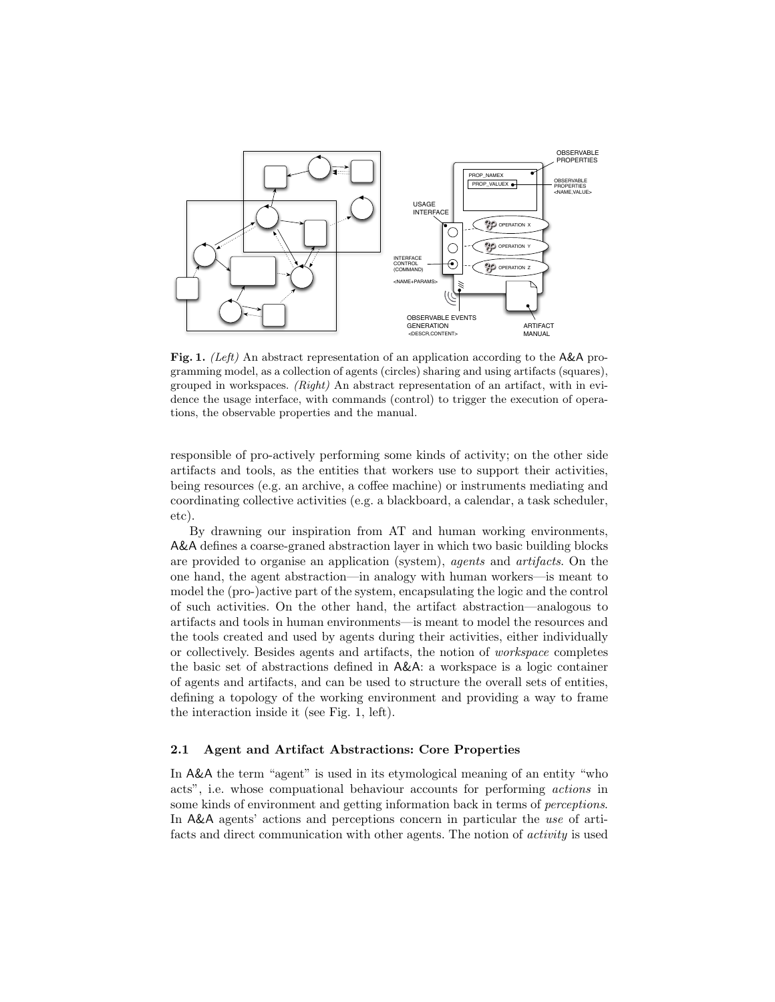

Fig. 1. (Left) An abstract representation of an application according to the A&A programming model, as a collection of agents (circles) sharing and using artifacts (squares), grouped in workspaces.  $(Right)$  An abstract representation of an artifact, with in evidence the usage interface, with commands (control) to trigger the execution of operations, the observable properties and the manual.

responsible of pro-actively performing some kinds of activity; on the other side artifacts and tools, as the entities that workers use to support their activities, being resources (e.g. an archive, a coffee machine) or instruments mediating and coordinating collective activities (e.g. a blackboard, a calendar, a task scheduler, etc).

By drawning our inspiration from AT and human working environments, A&A defines a coarse-graned abstraction layer in which two basic building blocks are provided to organise an application (system), agents and artifacts. On the one hand, the agent abstraction—in analogy with human workers—is meant to model the (pro-)active part of the system, encapsulating the logic and the control of such activities. On the other hand, the artifact abstraction—analogous to artifacts and tools in human environments—is meant to model the resources and the tools created and used by agents during their activities, either individually or collectively. Besides agents and artifacts, the notion of workspace completes the basic set of abstractions defined in A&A: a workspace is a logic container of agents and artifacts, and can be used to structure the overall sets of entities, defining a topology of the working environment and providing a way to frame the interaction inside it (see Fig. 1, left).

#### 2.1 Agent and Artifact Abstractions: Core Properties

In A&A the term "agent" is used in its etymological meaning of an entity "who acts", i.e. whose compuational behaviour accounts for performing actions in some kinds of environment and getting information back in terms of perceptions. In A&A agents' actions and perceptions concern in particular the use of artifacts and direct communication with other agents. The notion of activity is used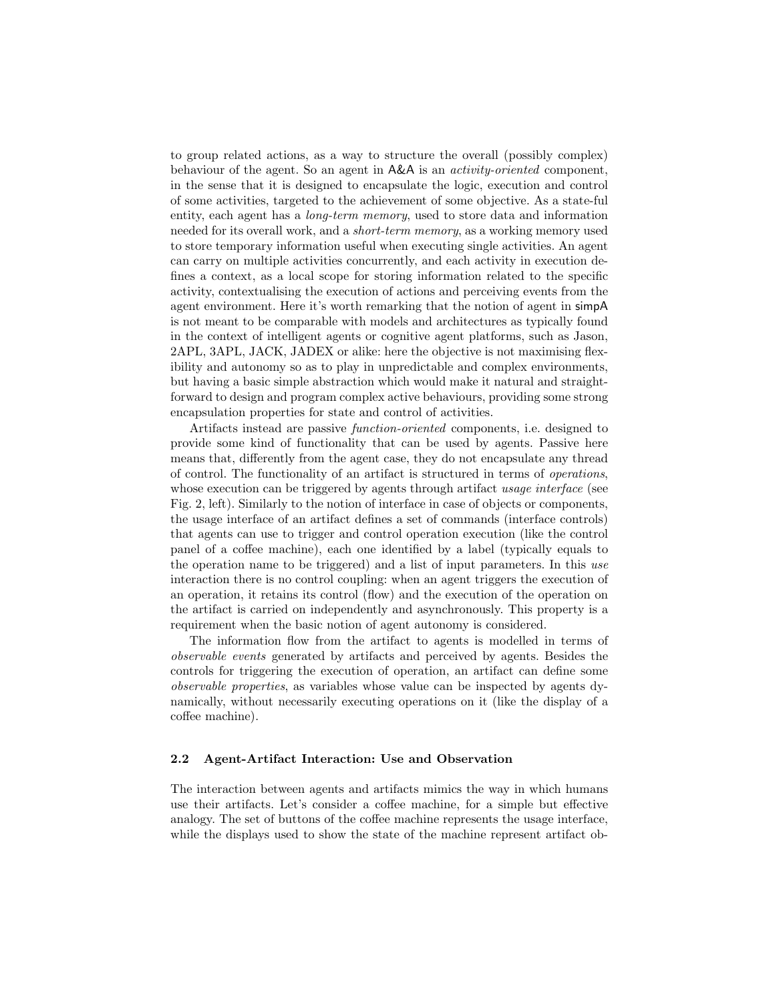to group related actions, as a way to structure the overall (possibly complex) behaviour of the agent. So an agent in  $A\&A$  is an *activity-oriented* component, in the sense that it is designed to encapsulate the logic, execution and control of some activities, targeted to the achievement of some objective. As a state-ful entity, each agent has a long-term memory, used to store data and information needed for its overall work, and a short-term memory, as a working memory used to store temporary information useful when executing single activities. An agent can carry on multiple activities concurrently, and each activity in execution defines a context, as a local scope for storing information related to the specific activity, contextualising the execution of actions and perceiving events from the agent environment. Here it's worth remarking that the notion of agent in simpA is not meant to be comparable with models and architectures as typically found in the context of intelligent agents or cognitive agent platforms, such as Jason, 2APL, 3APL, JACK, JADEX or alike: here the objective is not maximising flexibility and autonomy so as to play in unpredictable and complex environments, but having a basic simple abstraction which would make it natural and straightforward to design and program complex active behaviours, providing some strong encapsulation properties for state and control of activities.

Artifacts instead are passive function-oriented components, i.e. designed to provide some kind of functionality that can be used by agents. Passive here means that, differently from the agent case, they do not encapsulate any thread of control. The functionality of an artifact is structured in terms of operations, whose execution can be triggered by agents through artifact usage interface (see Fig. 2, left). Similarly to the notion of interface in case of objects or components, the usage interface of an artifact defines a set of commands (interface controls) that agents can use to trigger and control operation execution (like the control panel of a coffee machine), each one identified by a label (typically equals to the operation name to be triggered) and a list of input parameters. In this use interaction there is no control coupling: when an agent triggers the execution of an operation, it retains its control (flow) and the execution of the operation on the artifact is carried on independently and asynchronously. This property is a requirement when the basic notion of agent autonomy is considered.

The information flow from the artifact to agents is modelled in terms of observable events generated by artifacts and perceived by agents. Besides the controls for triggering the execution of operation, an artifact can define some observable properties, as variables whose value can be inspected by agents dynamically, without necessarily executing operations on it (like the display of a coffee machine).

#### 2.2 Agent-Artifact Interaction: Use and Observation

The interaction between agents and artifacts mimics the way in which humans use their artifacts. Let's consider a coffee machine, for a simple but effective analogy. The set of buttons of the coffee machine represents the usage interface, while the displays used to show the state of the machine represent artifact ob-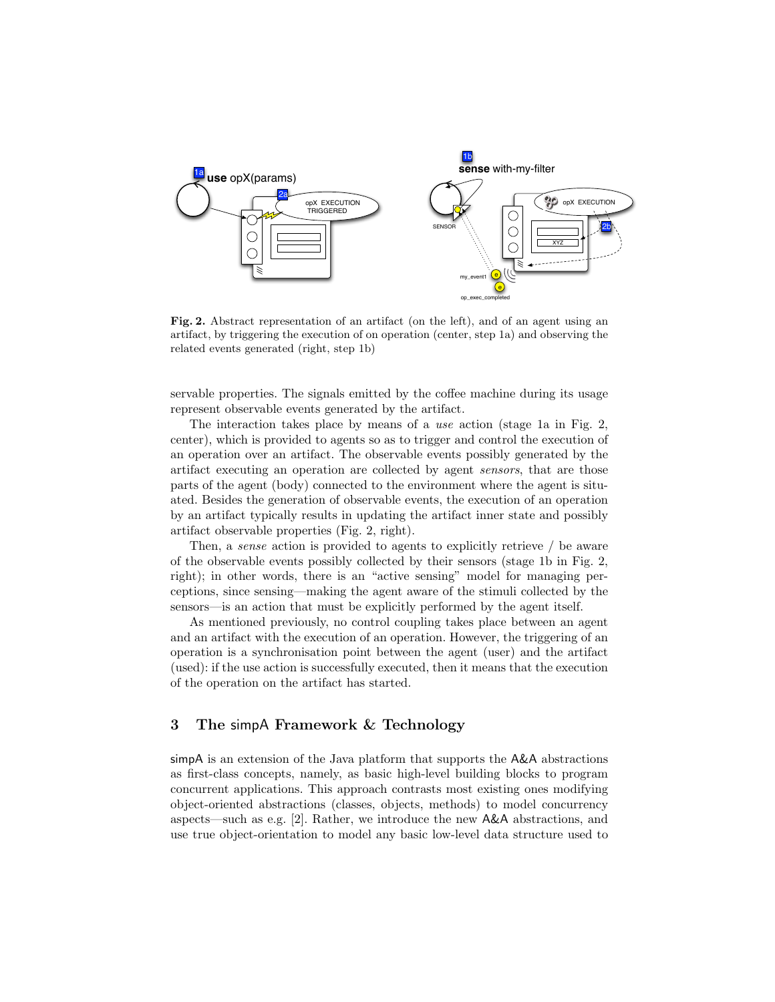

Fig. 2. Abstract representation of an artifact (on the left), and of an agent using an artifact, by triggering the execution of on operation (center, step 1a) and observing the related events generated (right, step 1b)

servable properties. The signals emitted by the coffee machine during its usage represent observable events generated by the artifact.

The interaction takes place by means of a use action (stage 1a in Fig. 2, center), which is provided to agents so as to trigger and control the execution of an operation over an artifact. The observable events possibly generated by the artifact executing an operation are collected by agent sensors, that are those parts of the agent (body) connected to the environment where the agent is situated. Besides the generation of observable events, the execution of an operation by an artifact typically results in updating the artifact inner state and possibly artifact observable properties (Fig. 2, right).

Then, a sense action is provided to agents to explicitly retrieve / be aware of the observable events possibly collected by their sensors (stage 1b in Fig. 2, right); in other words, there is an "active sensing" model for managing perceptions, since sensing—making the agent aware of the stimuli collected by the sensors—is an action that must be explicitly performed by the agent itself.

As mentioned previously, no control coupling takes place between an agent and an artifact with the execution of an operation. However, the triggering of an operation is a synchronisation point between the agent (user) and the artifact (used): if the use action is successfully executed, then it means that the execution of the operation on the artifact has started.

# 3 The simpA Framework & Technology

simpA is an extension of the Java platform that supports the A&A abstractions as first-class concepts, namely, as basic high-level building blocks to program concurrent applications. This approach contrasts most existing ones modifying object-oriented abstractions (classes, objects, methods) to model concurrency aspects—such as e.g. [2]. Rather, we introduce the new A&A abstractions, and use true object-orientation to model any basic low-level data structure used to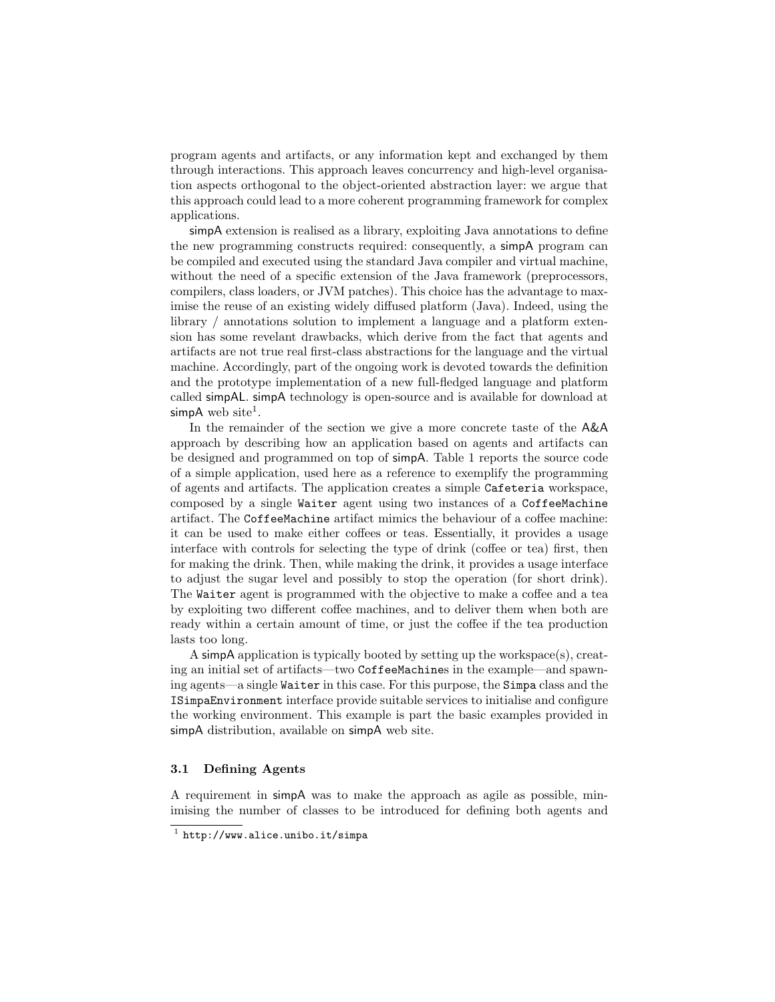program agents and artifacts, or any information kept and exchanged by them through interactions. This approach leaves concurrency and high-level organisation aspects orthogonal to the object-oriented abstraction layer: we argue that this approach could lead to a more coherent programming framework for complex applications.

simpA extension is realised as a library, exploiting Java annotations to define the new programming constructs required: consequently, a simpA program can be compiled and executed using the standard Java compiler and virtual machine, without the need of a specific extension of the Java framework (preprocessors, compilers, class loaders, or JVM patches). This choice has the advantage to maximise the reuse of an existing widely diffused platform (Java). Indeed, using the library / annotations solution to implement a language and a platform extension has some revelant drawbacks, which derive from the fact that agents and artifacts are not true real first-class abstractions for the language and the virtual machine. Accordingly, part of the ongoing work is devoted towards the definition and the prototype implementation of a new full-fledged language and platform called simpAL. simpA technology is open-source and is available for download at  ${\sf simpA}$  web  ${\rm site}^1.$ 

In the remainder of the section we give a more concrete taste of the A&A approach by describing how an application based on agents and artifacts can be designed and programmed on top of simpA. Table 1 reports the source code of a simple application, used here as a reference to exemplify the programming of agents and artifacts. The application creates a simple Cafeteria workspace, composed by a single Waiter agent using two instances of a CoffeeMachine artifact. The CoffeeMachine artifact mimics the behaviour of a coffee machine: it can be used to make either coffees or teas. Essentially, it provides a usage interface with controls for selecting the type of drink (coffee or tea) first, then for making the drink. Then, while making the drink, it provides a usage interface to adjust the sugar level and possibly to stop the operation (for short drink). The Waiter agent is programmed with the objective to make a coffee and a tea by exploiting two different coffee machines, and to deliver them when both are ready within a certain amount of time, or just the coffee if the tea production lasts too long.

A simpA application is typically booted by setting up the workspace(s), creating an initial set of artifacts—two CoffeeMachines in the example—and spawning agents—a single Waiter in this case. For this purpose, the Simpa class and the ISimpaEnvironment interface provide suitable services to initialise and configure the working environment. This example is part the basic examples provided in simpA distribution, available on simpA web site.

#### 3.1 Defining Agents

A requirement in simpA was to make the approach as agile as possible, minimising the number of classes to be introduced for defining both agents and

 $^1$  http://www.alice.unibo.it/simpa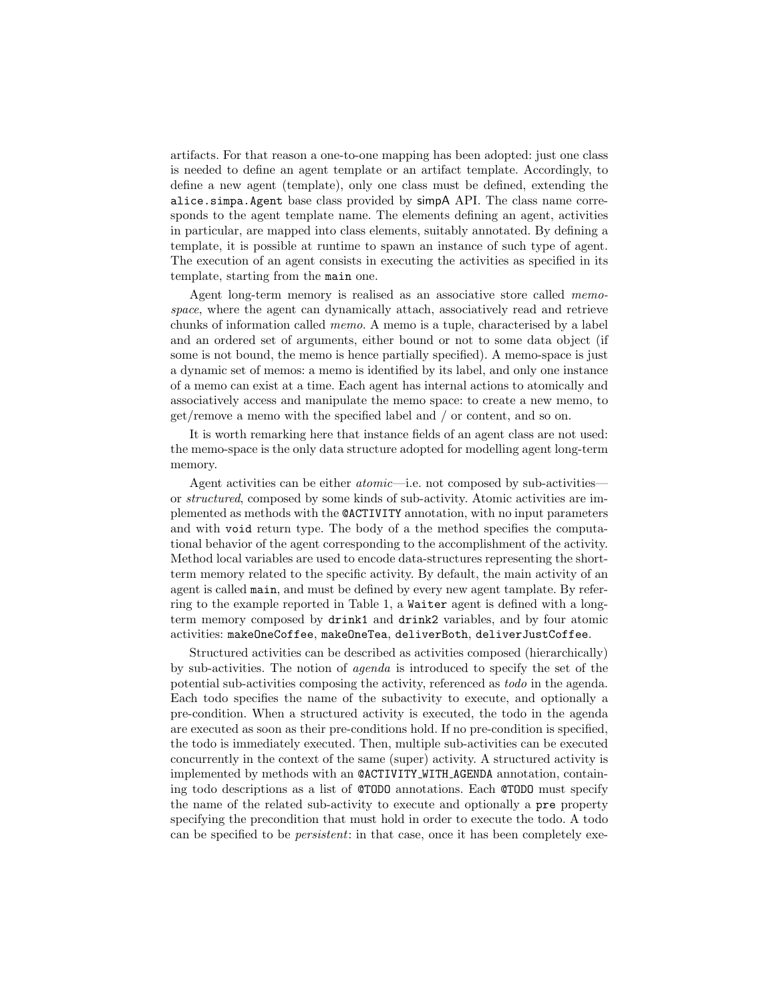artifacts. For that reason a one-to-one mapping has been adopted: just one class is needed to define an agent template or an artifact template. Accordingly, to define a new agent (template), only one class must be defined, extending the alice.simpa.Agent base class provided by simpA API. The class name corresponds to the agent template name. The elements defining an agent, activities in particular, are mapped into class elements, suitably annotated. By defining a template, it is possible at runtime to spawn an instance of such type of agent. The execution of an agent consists in executing the activities as specified in its template, starting from the main one.

Agent long-term memory is realised as an associative store called memospace, where the agent can dynamically attach, associatively read and retrieve chunks of information called memo. A memo is a tuple, characterised by a label and an ordered set of arguments, either bound or not to some data object (if some is not bound, the memo is hence partially specified). A memo-space is just a dynamic set of memos: a memo is identified by its label, and only one instance of a memo can exist at a time. Each agent has internal actions to atomically and associatively access and manipulate the memo space: to create a new memo, to get/remove a memo with the specified label and / or content, and so on.

It is worth remarking here that instance fields of an agent class are not used: the memo-space is the only data structure adopted for modelling agent long-term memory.

Agent activities can be either *atomic*—i.e. not composed by sub-activities or structured, composed by some kinds of sub-activity. Atomic activities are implemented as methods with the @ACTIVITY annotation, with no input parameters and with void return type. The body of a the method specifies the computational behavior of the agent corresponding to the accomplishment of the activity. Method local variables are used to encode data-structures representing the shortterm memory related to the specific activity. By default, the main activity of an agent is called main, and must be defined by every new agent tamplate. By referring to the example reported in Table 1, a Waiter agent is defined with a longterm memory composed by drink1 and drink2 variables, and by four atomic activities: makeOneCoffee, makeOneTea, deliverBoth, deliverJustCoffee.

Structured activities can be described as activities composed (hierarchically) by sub-activities. The notion of agenda is introduced to specify the set of the potential sub-activities composing the activity, referenced as todo in the agenda. Each todo specifies the name of the subactivity to execute, and optionally a pre-condition. When a structured activity is executed, the todo in the agenda are executed as soon as their pre-conditions hold. If no pre-condition is specified, the todo is immediately executed. Then, multiple sub-activities can be executed concurrently in the context of the same (super) activity. A structured activity is implemented by methods with an @ACTIVITY WITH AGENDA annotation, containing todo descriptions as a list of @TODO annotations. Each @TODO must specify the name of the related sub-activity to execute and optionally a pre property specifying the precondition that must hold in order to execute the todo. A todo can be specified to be persistent: in that case, once it has been completely exe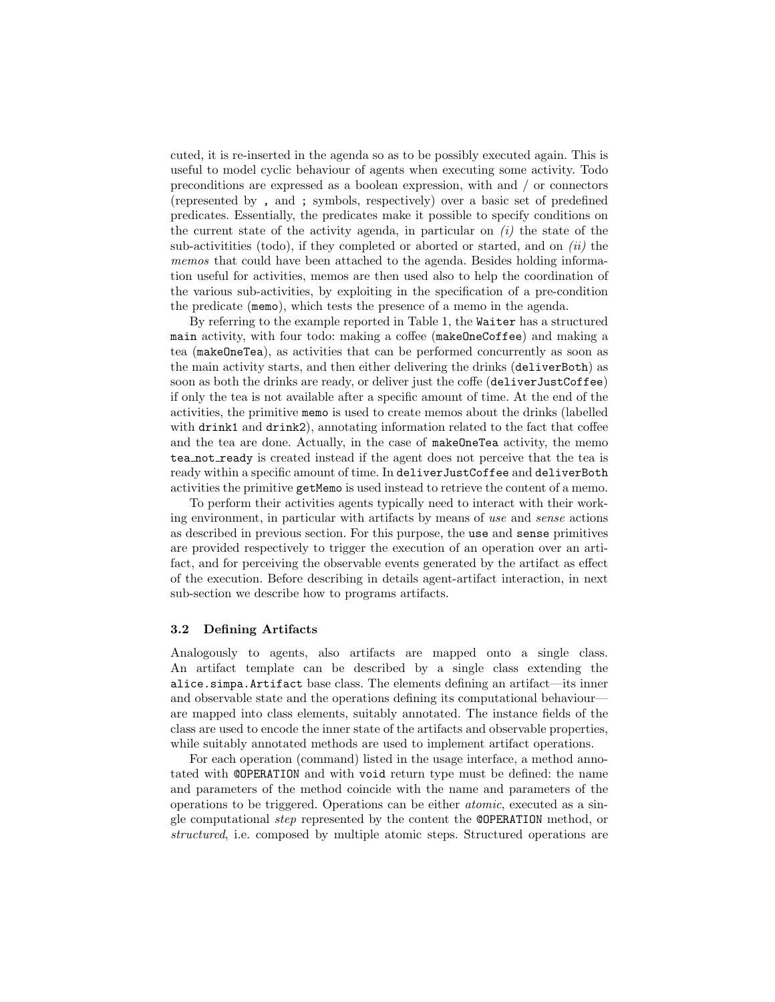cuted, it is re-inserted in the agenda so as to be possibly executed again. This is useful to model cyclic behaviour of agents when executing some activity. Todo preconditions are expressed as a boolean expression, with and / or connectors (represented by , and ; symbols, respectively) over a basic set of predefined predicates. Essentially, the predicates make it possible to specify conditions on the current state of the activity agenda, in particular on  $(i)$  the state of the sub-activitities (todo), if they completed or aborted or started, and on  $(ii)$  the memos that could have been attached to the agenda. Besides holding information useful for activities, memos are then used also to help the coordination of the various sub-activities, by exploiting in the specification of a pre-condition the predicate (memo), which tests the presence of a memo in the agenda.

By referring to the example reported in Table 1, the Waiter has a structured main activity, with four todo: making a coffee (makeOneCoffee) and making a tea (makeOneTea), as activities that can be performed concurrently as soon as the main activity starts, and then either delivering the drinks (deliverBoth) as soon as both the drinks are ready, or deliver just the coffe (deliverJustCoffee) if only the tea is not available after a specific amount of time. At the end of the activities, the primitive memo is used to create memos about the drinks (labelled with drink1 and drink2), annotating information related to the fact that coffee and the tea are done. Actually, in the case of makeOneTea activity, the memo tea not ready is created instead if the agent does not perceive that the tea is ready within a specific amount of time. In deliverJustCoffee and deliverBoth activities the primitive getMemo is used instead to retrieve the content of a memo.

To perform their activities agents typically need to interact with their working environment, in particular with artifacts by means of use and sense actions as described in previous section. For this purpose, the use and sense primitives are provided respectively to trigger the execution of an operation over an artifact, and for perceiving the observable events generated by the artifact as effect of the execution. Before describing in details agent-artifact interaction, in next sub-section we describe how to programs artifacts.

#### 3.2 Defining Artifacts

Analogously to agents, also artifacts are mapped onto a single class. An artifact template can be described by a single class extending the alice.simpa.Artifact base class. The elements defining an artifact—its inner and observable state and the operations defining its computational behaviour are mapped into class elements, suitably annotated. The instance fields of the class are used to encode the inner state of the artifacts and observable properties, while suitably annotated methods are used to implement artifact operations.

For each operation (command) listed in the usage interface, a method annotated with @OPERATION and with void return type must be defined: the name and parameters of the method coincide with the name and parameters of the operations to be triggered. Operations can be either atomic, executed as a single computational step represented by the content the @OPERATION method, or structured, i.e. composed by multiple atomic steps. Structured operations are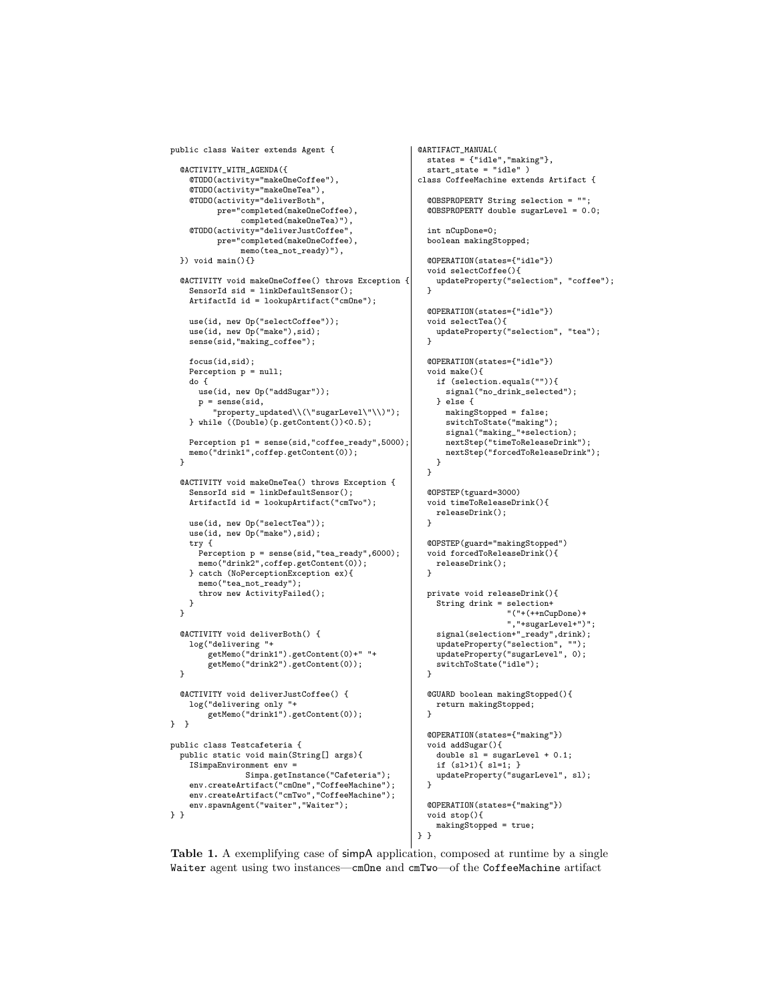```
public class Waiter extends Agent {
  @ACTIVITY_WITH_AGENDA({
    @TODO(activity="makeOneCoffee"),
    @TODO(activity="makeOneTea"),
    @TODO(activity="deliverBoth",
          pre="completed(makeOneCoffee),
               completed(makeOneTea)"),
    @TODO(activity="deliverJustCoffee",
          pre="completed(makeOneCoffee),
               memo(tea_not_ready)"),
  }) void main(){}
  @ACTIVITY void makeOneCoffee() throws Exception {
    SensorId sid = linkDefaultSensor();
    ArtifactId id = lookupArtifact("cmOne");
    use(id, new Op("selectCoffee"));
    use(id, new Op("make"),sid);
    sense(sid,"making_coffee");
    focus(id,sid);
    Perception p = null;
    do {
      use(id, new Op("addSugar"));
      p = sense(side,"property_updated\\(\"sugarLevel\"\\)");
    } while ((Double)(p.getContent())<0.5);
    Perception p1 = sense(sid, "coffee readv", 5000);
    memo("drink1",coffep.getContent(0));
  }
 @ACTIVITY void makeOneTea() throws Exception {
    SensorId sid = linkDefaultSensor();
    ArtifactId id = lookupArtifact("cmTwo");
    use(id, new Op("selectTea"));
    use(id, new Op("make"),sid);
    try {
      Perception p = sense(sid,"tea_ready",6000);
      memo("drink2",coffep.getContent(0));
    } catch (NoPerceptionException ex){
      memo("tea_not_ready");
      throw new ActivityFailed();
   }
 }
  @ACTIVITY void deliverBoth() {
    log("delivering "+
        getMemo("drink1").getContent(0)+" "+
        getMemo("drink2").getContent(0));
  }
  @ACTIVITY void deliverJustCoffee() {
    log("delivering only "+
        getMemo("drink1").getContent(0));
} }
public class Testcafeteria {
 public static void main(String[] args){
    ISimpaEnvironment env =
                Simpa.getInstance("Cafeteria");
    env.createArtifact("cmOne","CoffeeMachine");
env.createArtifact("cmTwo","CoffeeMachine");
    env.spawnAgent("waiter","Waiter");
} }
                                                          }
                                                          }
                                                           }
                                                          }
                                                          }
                                                          }
                                                          \mathbf{a}}
                                                          \mathbf{a}
```

```
@ARTIFACT_MANUAL(
  states = {"idle","making"},
  start_state = "idle" )
class CoffeeMachine extends Artifact {
  @OBSPROPERTY String selection = "";
  @OBSPROPERTY double sugarLevel = 0.0;
  int nCupDone=0;
  boolean makingStopped;
  @OPERATION(states={"idle"})
  void selectCoffee(){
    updateProperty("selection", "coffee");
  @OPERATION(states={"idle"})
  void selectTea(){
    updateProperty("selection", "tea");
  @OPERATION(states={"idle"})
  void make(){
    if (selection.equals("")){
      signal("no_drink_selected");
    } else {
      makingStopped = false;
      switchToState("making");
      signal("making_"+selection);
      nextStep("timeToReleaseDrink");
      nextStep("forcedToReleaseDrink");
  @OPSTEP(tguard=3000)
  void timeToReleaseDrink(){
    releaseDrink();
  @OPSTEP(guard="makingStopped")
  void forcedToReleaseDrink(){
    releaseDrink();
  private void releaseDrink(){
    String drink = selection+
                   "("+(++nCupDone)+
                   ","+sugarLevel+")";
    signal(selection+"_ready",drink);
    updateProperty("selection", "");
updateProperty("sugarLevel", 0);
    switchToState("idle");
  @GUARD boolean makingStopped(){
   return makingStopped;
  @OPERATION(states={"making"})
  void addSugar(){
    double sl = sugarLevel + 0.1;
    if (sl>1){ sl=1; }
    updateProperty("sugarLevel", sl);
  @OPERATION(states={"making"})
  void stop(){
    makingStopped = true;
} }
```
Table 1. A exemplifying case of simpA application, composed at runtime by a single Waiter agent using two instances—cmOne and cmTwo—of the CoffeeMachine artifact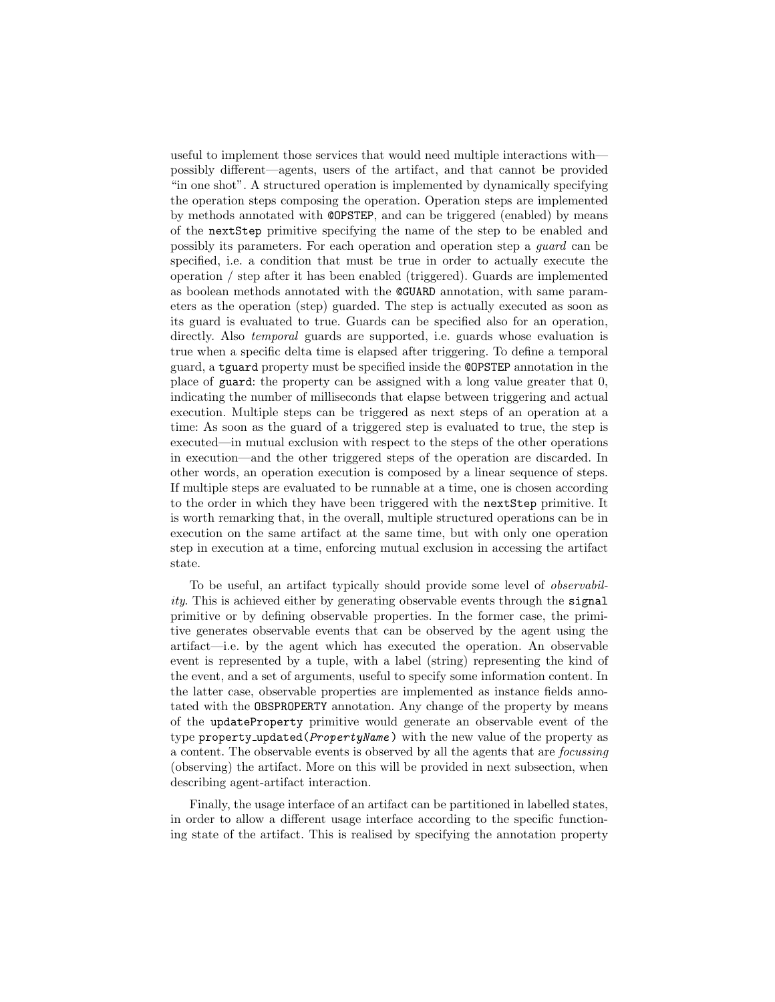useful to implement those services that would need multiple interactions with possibly different—agents, users of the artifact, and that cannot be provided "in one shot". A structured operation is implemented by dynamically specifying the operation steps composing the operation. Operation steps are implemented by methods annotated with @OPSTEP, and can be triggered (enabled) by means of the nextStep primitive specifying the name of the step to be enabled and possibly its parameters. For each operation and operation step a guard can be specified, i.e. a condition that must be true in order to actually execute the operation / step after it has been enabled (triggered). Guards are implemented as boolean methods annotated with the @GUARD annotation, with same parameters as the operation (step) guarded. The step is actually executed as soon as its guard is evaluated to true. Guards can be specified also for an operation, directly. Also *temporal* guards are supported, i.e. guards whose evaluation is true when a specific delta time is elapsed after triggering. To define a temporal guard, a tguard property must be specified inside the @OPSTEP annotation in the place of guard: the property can be assigned with a long value greater that 0, indicating the number of milliseconds that elapse between triggering and actual execution. Multiple steps can be triggered as next steps of an operation at a time: As soon as the guard of a triggered step is evaluated to true, the step is executed—in mutual exclusion with respect to the steps of the other operations in execution—and the other triggered steps of the operation are discarded. In other words, an operation execution is composed by a linear sequence of steps. If multiple steps are evaluated to be runnable at a time, one is chosen according to the order in which they have been triggered with the nextStep primitive. It is worth remarking that, in the overall, multiple structured operations can be in execution on the same artifact at the same time, but with only one operation step in execution at a time, enforcing mutual exclusion in accessing the artifact state.

To be useful, an artifact typically should provide some level of observability. This is achieved either by generating observable events through the signal primitive or by defining observable properties. In the former case, the primitive generates observable events that can be observed by the agent using the artifact—i.e. by the agent which has executed the operation. An observable event is represented by a tuple, with a label (string) representing the kind of the event, and a set of arguments, useful to specify some information content. In the latter case, observable properties are implemented as instance fields annotated with the OBSPROPERTY annotation. Any change of the property by means of the updateProperty primitive would generate an observable event of the type property\_updated(PropertyName) with the new value of the property as a content. The observable events is observed by all the agents that are focussing (observing) the artifact. More on this will be provided in next subsection, when describing agent-artifact interaction.

Finally, the usage interface of an artifact can be partitioned in labelled states, in order to allow a different usage interface according to the specific functioning state of the artifact. This is realised by specifying the annotation property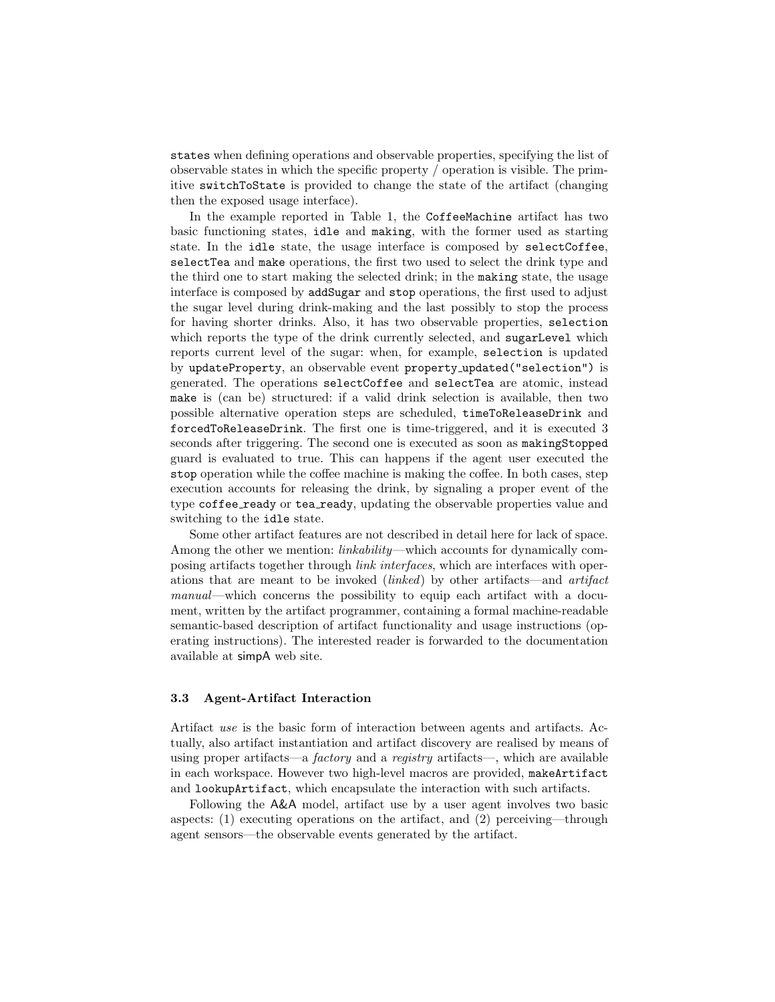states when defining operations and observable properties, specifying the list of observable states in which the specific property / operation is visible. The primitive switchToState is provided to change the state of the artifact (changing then the exposed usage interface).

In the example reported in Table 1, the CoffeeMachine artifact has two basic functioning states, idle and making, with the former used as starting state. In the idle state, the usage interface is composed by selectCoffee, selectTea and make operations, the first two used to select the drink type and the third one to start making the selected drink; in the making state, the usage interface is composed by addSugar and stop operations, the first used to adjust the sugar level during drink-making and the last possibly to stop the process for having shorter drinks. Also, it has two observable properties, selection which reports the type of the drink currently selected, and sugarLevel which reports current level of the sugar: when, for example, selection is updated by updateProperty, an observable event property updated("selection") is generated. The operations selectCoffee and selectTea are atomic, instead make is (can be) structured: if a valid drink selection is available, then two possible alternative operation steps are scheduled, timeToReleaseDrink and forcedToReleaseDrink. The first one is time-triggered, and it is executed 3 seconds after triggering. The second one is executed as soon as makingStopped guard is evaluated to true. This can happens if the agent user executed the stop operation while the coffee machine is making the coffee. In both cases, step execution accounts for releasing the drink, by signaling a proper event of the type coffee ready or tea ready, updating the observable properties value and switching to the idle state.

Some other artifact features are not described in detail here for lack of space. Among the other we mention: *linkability*—which accounts for dynamically composing artifacts together through link interfaces, which are interfaces with operations that are meant to be invoked (linked) by other artifacts—and artifact manual—which concerns the possibility to equip each artifact with a document, written by the artifact programmer, containing a formal machine-readable semantic-based description of artifact functionality and usage instructions (operating instructions). The interested reader is forwarded to the documentation available at simpA web site.

#### 3.3 Agent-Artifact Interaction

Artifact use is the basic form of interaction between agents and artifacts. Actually, also artifact instantiation and artifact discovery are realised by means of using proper artifacts—a *factory* and a *registry* artifacts—, which are available in each workspace. However two high-level macros are provided, makeArtifact and lookupArtifact, which encapsulate the interaction with such artifacts.

Following the A&A model, artifact use by a user agent involves two basic aspects: (1) executing operations on the artifact, and (2) perceiving—through agent sensors—the observable events generated by the artifact.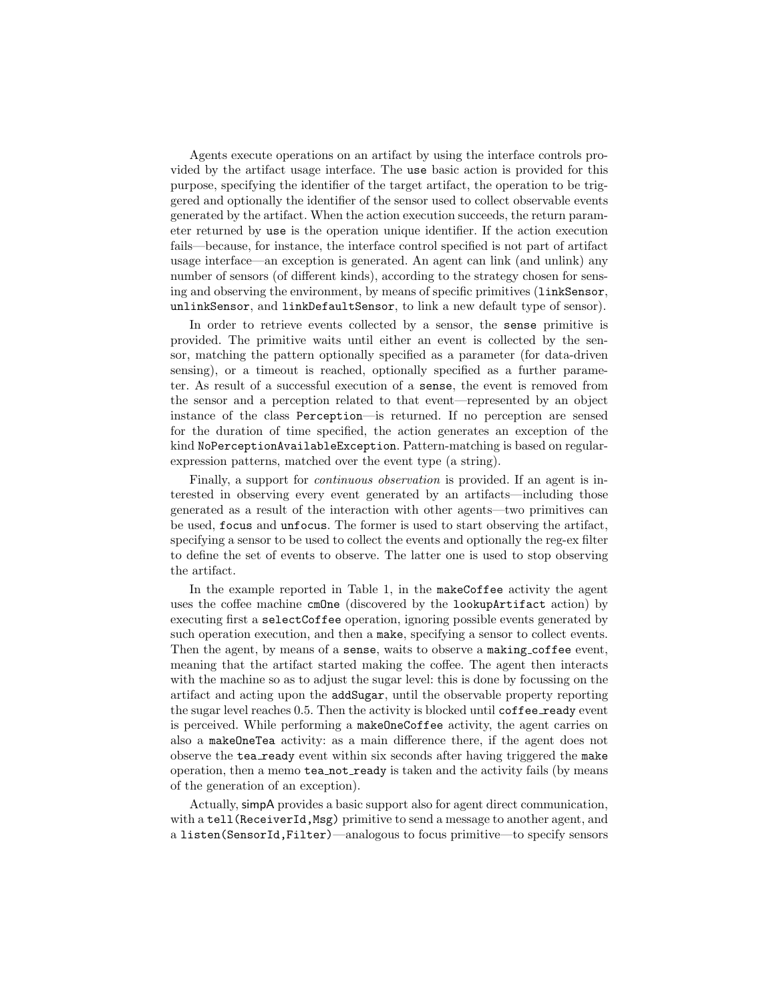Agents execute operations on an artifact by using the interface controls provided by the artifact usage interface. The use basic action is provided for this purpose, specifying the identifier of the target artifact, the operation to be triggered and optionally the identifier of the sensor used to collect observable events generated by the artifact. When the action execution succeeds, the return parameter returned by use is the operation unique identifier. If the action execution fails—because, for instance, the interface control specified is not part of artifact usage interface—an exception is generated. An agent can link (and unlink) any number of sensors (of different kinds), according to the strategy chosen for sensing and observing the environment, by means of specific primitives (linkSensor, unlinkSensor, and linkDefaultSensor, to link a new default type of sensor).

In order to retrieve events collected by a sensor, the sense primitive is provided. The primitive waits until either an event is collected by the sensor, matching the pattern optionally specified as a parameter (for data-driven sensing), or a timeout is reached, optionally specified as a further parameter. As result of a successful execution of a sense, the event is removed from the sensor and a perception related to that event—represented by an object instance of the class Perception—is returned. If no perception are sensed for the duration of time specified, the action generates an exception of the kind NoPerceptionAvailableException. Pattern-matching is based on regularexpression patterns, matched over the event type (a string).

Finally, a support for continuous observation is provided. If an agent is interested in observing every event generated by an artifacts—including those generated as a result of the interaction with other agents—two primitives can be used, focus and unfocus. The former is used to start observing the artifact, specifying a sensor to be used to collect the events and optionally the reg-ex filter to define the set of events to observe. The latter one is used to stop observing the artifact.

In the example reported in Table 1, in the makeCoffee activity the agent uses the coffee machine cmOne (discovered by the lookupArtifact action) by executing first a selectCoffee operation, ignoring possible events generated by such operation execution, and then a make, specifying a sensor to collect events. Then the agent, by means of a sense, waits to observe a making coffee event, meaning that the artifact started making the coffee. The agent then interacts with the machine so as to adjust the sugar level: this is done by focussing on the artifact and acting upon the addSugar, until the observable property reporting the sugar level reaches 0.5. Then the activity is blocked until coffee\_ready event is perceived. While performing a makeOneCoffee activity, the agent carries on also a makeOneTea activity: as a main difference there, if the agent does not observe the tea ready event within six seconds after having triggered the make operation, then a memo tea not ready is taken and the activity fails (by means of the generation of an exception).

Actually, simpA provides a basic support also for agent direct communication, with a tell (ReceiverId, Msg) primitive to send a message to another agent, and a listen(SensorId,Filter)—analogous to focus primitive—to specify sensors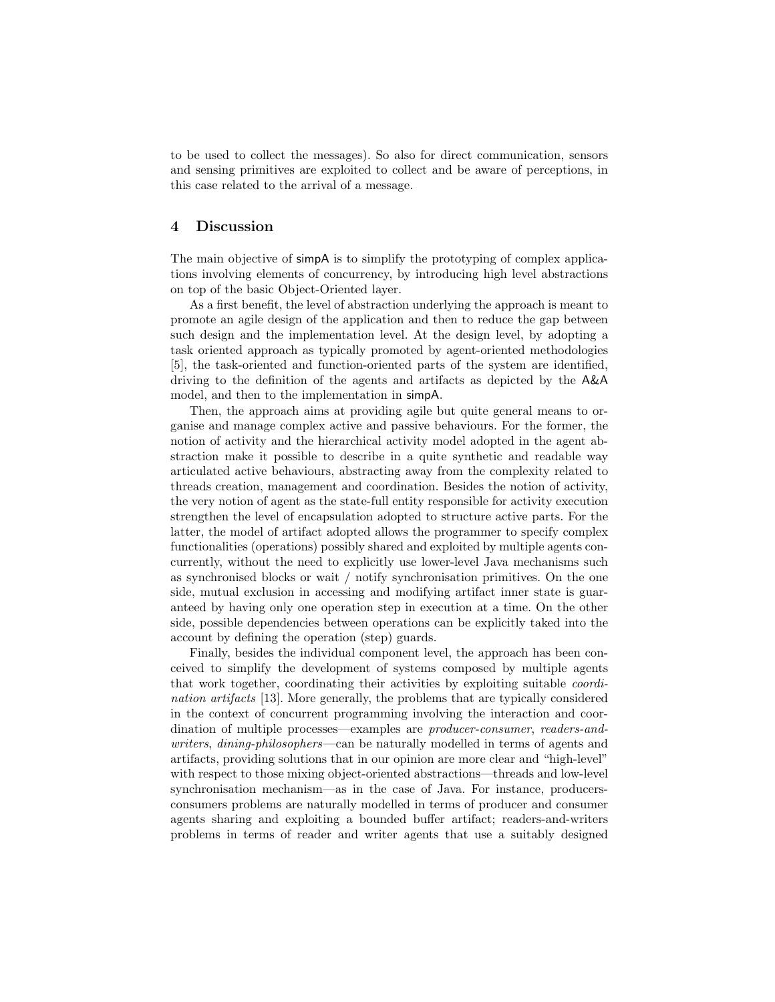to be used to collect the messages). So also for direct communication, sensors and sensing primitives are exploited to collect and be aware of perceptions, in this case related to the arrival of a message.

#### 4 Discussion

The main objective of simpA is to simplify the prototyping of complex applications involving elements of concurrency, by introducing high level abstractions on top of the basic Object-Oriented layer.

As a first benefit, the level of abstraction underlying the approach is meant to promote an agile design of the application and then to reduce the gap between such design and the implementation level. At the design level, by adopting a task oriented approach as typically promoted by agent-oriented methodologies [5], the task-oriented and function-oriented parts of the system are identified, driving to the definition of the agents and artifacts as depicted by the A&A model, and then to the implementation in simpA.

Then, the approach aims at providing agile but quite general means to organise and manage complex active and passive behaviours. For the former, the notion of activity and the hierarchical activity model adopted in the agent abstraction make it possible to describe in a quite synthetic and readable way articulated active behaviours, abstracting away from the complexity related to threads creation, management and coordination. Besides the notion of activity, the very notion of agent as the state-full entity responsible for activity execution strengthen the level of encapsulation adopted to structure active parts. For the latter, the model of artifact adopted allows the programmer to specify complex functionalities (operations) possibly shared and exploited by multiple agents concurrently, without the need to explicitly use lower-level Java mechanisms such as synchronised blocks or wait / notify synchronisation primitives. On the one side, mutual exclusion in accessing and modifying artifact inner state is guaranteed by having only one operation step in execution at a time. On the other side, possible dependencies between operations can be explicitly taked into the account by defining the operation (step) guards.

Finally, besides the individual component level, the approach has been conceived to simplify the development of systems composed by multiple agents that work together, coordinating their activities by exploiting suitable coordination artifacts [13]. More generally, the problems that are typically considered in the context of concurrent programming involving the interaction and coordination of multiple processes—examples are *producer-consumer*, *readers-and*writers, dining-philosophers—can be naturally modelled in terms of agents and artifacts, providing solutions that in our opinion are more clear and "high-level" with respect to those mixing object-oriented abstractions—threads and low-level synchronisation mechanism—as in the case of Java. For instance, producersconsumers problems are naturally modelled in terms of producer and consumer agents sharing and exploiting a bounded buffer artifact; readers-and-writers problems in terms of reader and writer agents that use a suitably designed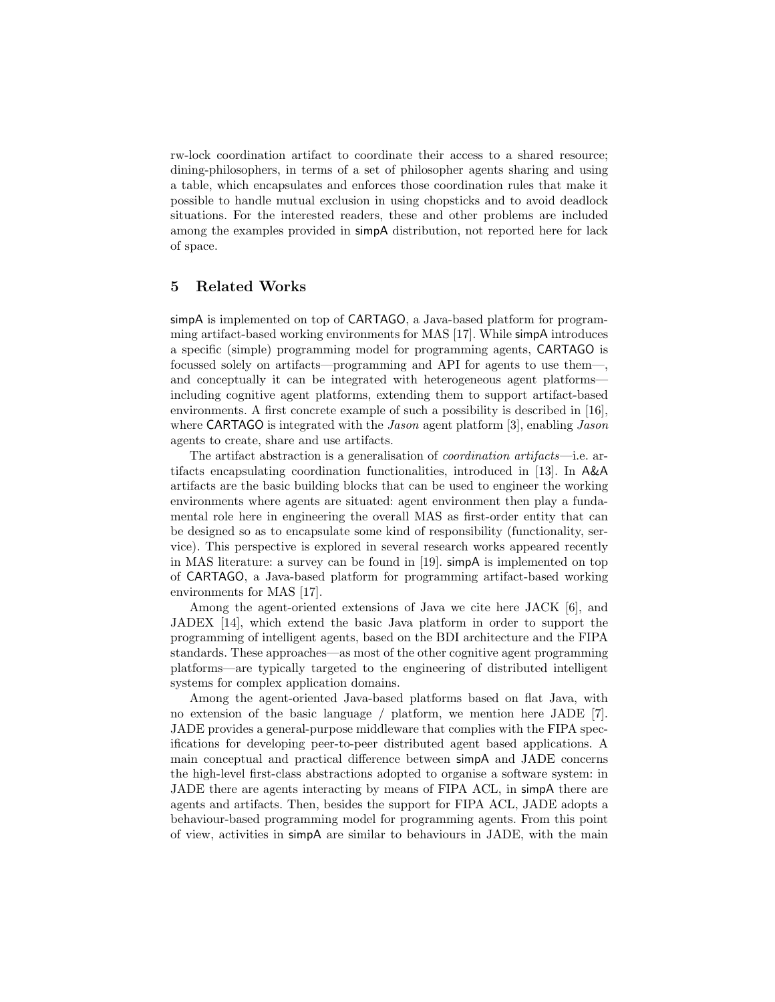rw-lock coordination artifact to coordinate their access to a shared resource; dining-philosophers, in terms of a set of philosopher agents sharing and using a table, which encapsulates and enforces those coordination rules that make it possible to handle mutual exclusion in using chopsticks and to avoid deadlock situations. For the interested readers, these and other problems are included among the examples provided in simpA distribution, not reported here for lack of space.

# 5 Related Works

simpA is implemented on top of CARTAGO, a Java-based platform for programming artifact-based working environments for MAS [17]. While simpA introduces a specific (simple) programming model for programming agents, CARTAGO is focussed solely on artifacts—programming and API for agents to use them—, and conceptually it can be integrated with heterogeneous agent platforms including cognitive agent platforms, extending them to support artifact-based environments. A first concrete example of such a possibility is described in [16], where CARTAGO is integrated with the *Jason* agent platform [3], enabling *Jason* agents to create, share and use artifacts.

The artifact abstraction is a generalisation of coordination artifacts—i.e. artifacts encapsulating coordination functionalities, introduced in [13]. In A&A artifacts are the basic building blocks that can be used to engineer the working environments where agents are situated: agent environment then play a fundamental role here in engineering the overall MAS as first-order entity that can be designed so as to encapsulate some kind of responsibility (functionality, service). This perspective is explored in several research works appeared recently in MAS literature: a survey can be found in [19]. simpA is implemented on top of CARTAGO, a Java-based platform for programming artifact-based working environments for MAS [17].

Among the agent-oriented extensions of Java we cite here JACK [6], and JADEX [14], which extend the basic Java platform in order to support the programming of intelligent agents, based on the BDI architecture and the FIPA standards. These approaches—as most of the other cognitive agent programming platforms—are typically targeted to the engineering of distributed intelligent systems for complex application domains.

Among the agent-oriented Java-based platforms based on flat Java, with no extension of the basic language / platform, we mention here JADE [7]. JADE provides a general-purpose middleware that complies with the FIPA specifications for developing peer-to-peer distributed agent based applications. A main conceptual and practical difference between simpA and JADE concerns the high-level first-class abstractions adopted to organise a software system: in JADE there are agents interacting by means of FIPA ACL, in simpA there are agents and artifacts. Then, besides the support for FIPA ACL, JADE adopts a behaviour-based programming model for programming agents. From this point of view, activities in simpA are similar to behaviours in JADE, with the main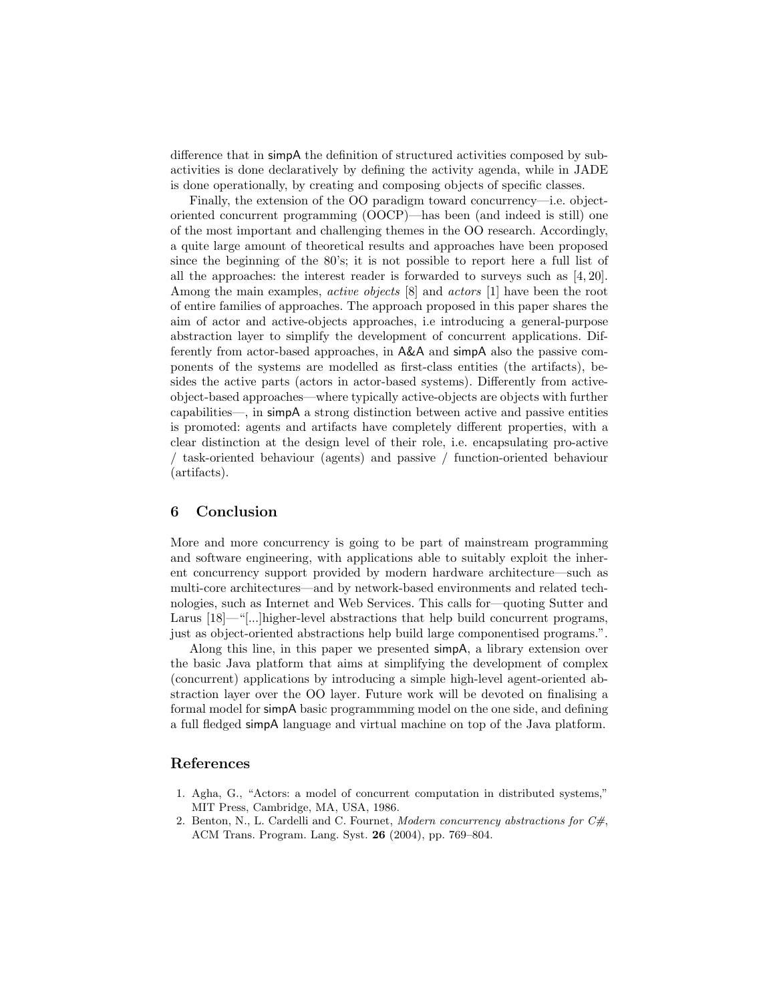difference that in simpA the definition of structured activities composed by subactivities is done declaratively by defining the activity agenda, while in JADE is done operationally, by creating and composing objects of specific classes.

Finally, the extension of the OO paradigm toward concurrency—i.e. objectoriented concurrent programming (OOCP)—has been (and indeed is still) one of the most important and challenging themes in the OO research. Accordingly, a quite large amount of theoretical results and approaches have been proposed since the beginning of the 80's; it is not possible to report here a full list of all the approaches: the interest reader is forwarded to surveys such as [4, 20]. Among the main examples, active objects [8] and actors [1] have been the root of entire families of approaches. The approach proposed in this paper shares the aim of actor and active-objects approaches, i.e introducing a general-purpose abstraction layer to simplify the development of concurrent applications. Differently from actor-based approaches, in A&A and simpA also the passive components of the systems are modelled as first-class entities (the artifacts), besides the active parts (actors in actor-based systems). Differently from activeobject-based approaches—where typically active-objects are objects with further capabilities—, in simpA a strong distinction between active and passive entities is promoted: agents and artifacts have completely different properties, with a clear distinction at the design level of their role, i.e. encapsulating pro-active / task-oriented behaviour (agents) and passive / function-oriented behaviour (artifacts).

## 6 Conclusion

More and more concurrency is going to be part of mainstream programming and software engineering, with applications able to suitably exploit the inherent concurrency support provided by modern hardware architecture—such as multi-core architectures—and by network-based environments and related technologies, such as Internet and Web Services. This calls for—quoting Sutter and Larus  $[18]$ —"[...]higher-level abstractions that help build concurrent programs, just as object-oriented abstractions help build large componentised programs.".

Along this line, in this paper we presented simpA, a library extension over the basic Java platform that aims at simplifying the development of complex (concurrent) applications by introducing a simple high-level agent-oriented abstraction layer over the OO layer. Future work will be devoted on finalising a formal model for simpA basic programmming model on the one side, and defining a full fledged simpA language and virtual machine on top of the Java platform.

#### References

- 1. Agha, G., "Actors: a model of concurrent computation in distributed systems," MIT Press, Cambridge, MA, USA, 1986.
- 2. Benton, N., L. Cardelli and C. Fournet, *Modern concurrency abstractions for*  $C\#$ , ACM Trans. Program. Lang. Syst. 26 (2004), pp. 769–804.